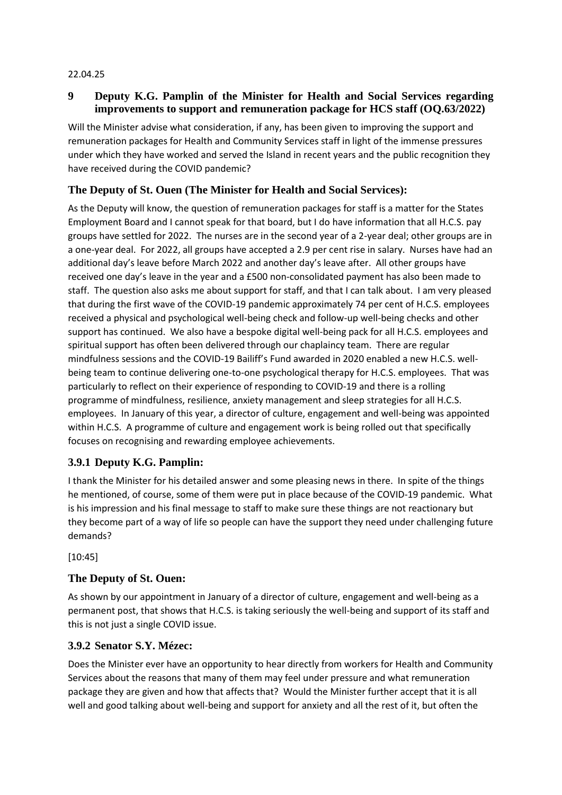#### 22.04.25

### **9 Deputy K.G. Pamplin of the Minister for Health and Social Services regarding improvements to support and remuneration package for HCS staff (OQ.63/2022)**

Will the Minister advise what consideration, if any, has been given to improving the support and remuneration packages for Health and Community Services staff in light of the immense pressures under which they have worked and served the Island in recent years and the public recognition they have received during the COVID pandemic?

#### **The Deputy of St. Ouen (The Minister for Health and Social Services):**

As the Deputy will know, the question of remuneration packages for staff is a matter for the States Employment Board and I cannot speak for that board, but I do have information that all H.C.S. pay groups have settled for 2022. The nurses are in the second year of a 2-year deal; other groups are in a one-year deal. For 2022, all groups have accepted a 2.9 per cent rise in salary. Nurses have had an additional day's leave before March 2022 and another day's leave after. All other groups have received one day's leave in the year and a £500 non-consolidated payment has also been made to staff. The question also asks me about support for staff, and that I can talk about. I am very pleased that during the first wave of the COVID-19 pandemic approximately 74 per cent of H.C.S. employees received a physical and psychological well-being check and follow-up well-being checks and other support has continued. We also have a bespoke digital well-being pack for all H.C.S. employees and spiritual support has often been delivered through our chaplaincy team. There are regular mindfulness sessions and the COVID-19 Bailiff's Fund awarded in 2020 enabled a new H.C.S. wellbeing team to continue delivering one-to-one psychological therapy for H.C.S. employees. That was particularly to reflect on their experience of responding to COVID-19 and there is a rolling programme of mindfulness, resilience, anxiety management and sleep strategies for all H.C.S. employees. In January of this year, a director of culture, engagement and well-being was appointed within H.C.S. A programme of culture and engagement work is being rolled out that specifically focuses on recognising and rewarding employee achievements.

### **3.9.1 Deputy K.G. Pamplin:**

I thank the Minister for his detailed answer and some pleasing news in there. In spite of the things he mentioned, of course, some of them were put in place because of the COVID-19 pandemic. What is his impression and his final message to staff to make sure these things are not reactionary but they become part of a way of life so people can have the support they need under challenging future demands?

[10:45]

#### **The Deputy of St. Ouen:**

As shown by our appointment in January of a director of culture, engagement and well-being as a permanent post, that shows that H.C.S. is taking seriously the well-being and support of its staff and this is not just a single COVID issue.

#### **3.9.2 Senator S.Y. Mézec:**

Does the Minister ever have an opportunity to hear directly from workers for Health and Community Services about the reasons that many of them may feel under pressure and what remuneration package they are given and how that affects that? Would the Minister further accept that it is all well and good talking about well-being and support for anxiety and all the rest of it, but often the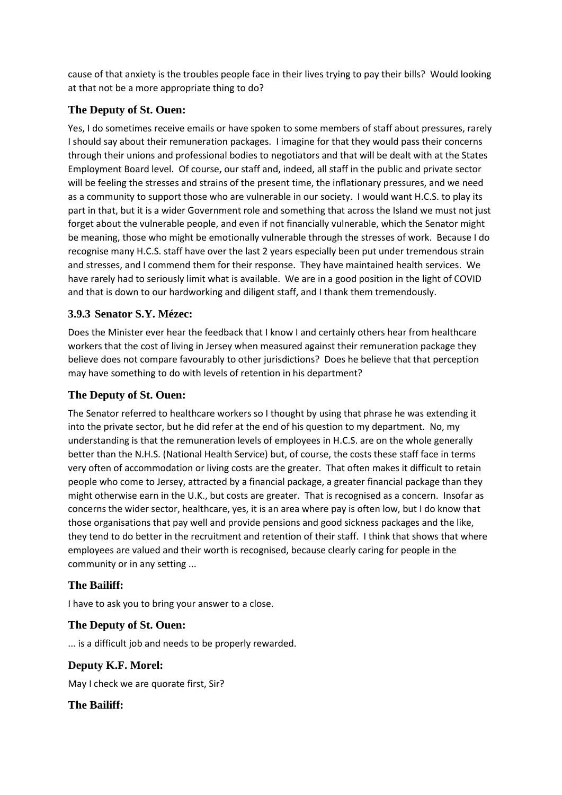cause of that anxiety is the troubles people face in their lives trying to pay their bills? Would looking at that not be a more appropriate thing to do?

#### **The Deputy of St. Ouen:**

Yes, I do sometimes receive emails or have spoken to some members of staff about pressures, rarely I should say about their remuneration packages. I imagine for that they would pass their concerns through their unions and professional bodies to negotiators and that will be dealt with at the States Employment Board level. Of course, our staff and, indeed, all staff in the public and private sector will be feeling the stresses and strains of the present time, the inflationary pressures, and we need as a community to support those who are vulnerable in our society. I would want H.C.S. to play its part in that, but it is a wider Government role and something that across the Island we must not just forget about the vulnerable people, and even if not financially vulnerable, which the Senator might be meaning, those who might be emotionally vulnerable through the stresses of work. Because I do recognise many H.C.S. staff have over the last 2 years especially been put under tremendous strain and stresses, and I commend them for their response. They have maintained health services. We have rarely had to seriously limit what is available. We are in a good position in the light of COVID and that is down to our hardworking and diligent staff, and I thank them tremendously.

#### **3.9.3 Senator S.Y. Mézec:**

Does the Minister ever hear the feedback that I know I and certainly others hear from healthcare workers that the cost of living in Jersey when measured against their remuneration package they believe does not compare favourably to other jurisdictions? Does he believe that that perception may have something to do with levels of retention in his department?

#### **The Deputy of St. Ouen:**

The Senator referred to healthcare workers so I thought by using that phrase he was extending it into the private sector, but he did refer at the end of his question to my department. No, my understanding is that the remuneration levels of employees in H.C.S. are on the whole generally better than the N.H.S. (National Health Service) but, of course, the costs these staff face in terms very often of accommodation or living costs are the greater. That often makes it difficult to retain people who come to Jersey, attracted by a financial package, a greater financial package than they might otherwise earn in the U.K., but costs are greater. That is recognised as a concern. Insofar as concerns the wider sector, healthcare, yes, it is an area where pay is often low, but I do know that those organisations that pay well and provide pensions and good sickness packages and the like, they tend to do better in the recruitment and retention of their staff. I think that shows that where employees are valued and their worth is recognised, because clearly caring for people in the community or in any setting ...

#### **The Bailiff:**

I have to ask you to bring your answer to a close.

#### **The Deputy of St. Ouen:**

... is a difficult job and needs to be properly rewarded.

#### **Deputy K.F. Morel:**

May I check we are quorate first, Sir?

#### **The Bailiff:**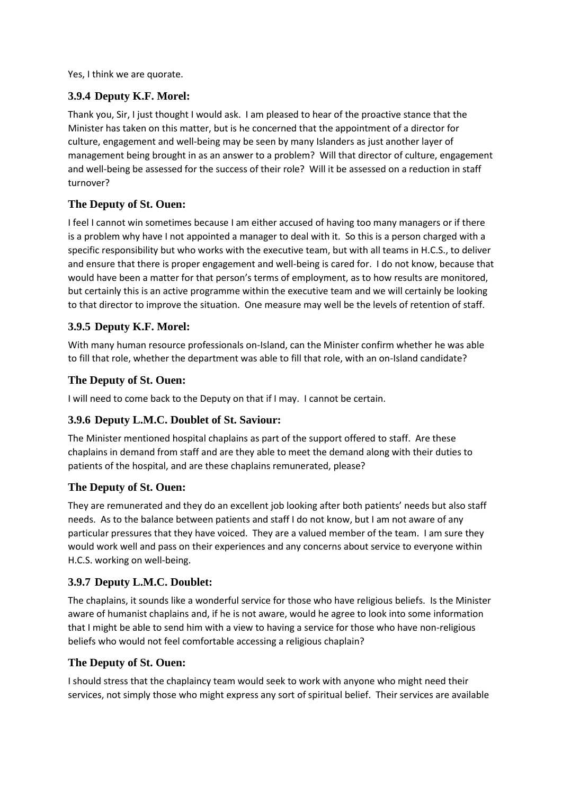Yes, I think we are quorate.

#### **3.9.4 Deputy K.F. Morel:**

Thank you, Sir, I just thought I would ask. I am pleased to hear of the proactive stance that the Minister has taken on this matter, but is he concerned that the appointment of a director for culture, engagement and well-being may be seen by many Islanders as just another layer of management being brought in as an answer to a problem? Will that director of culture, engagement and well-being be assessed for the success of their role? Will it be assessed on a reduction in staff turnover?

#### **The Deputy of St. Ouen:**

I feel I cannot win sometimes because I am either accused of having too many managers or if there is a problem why have I not appointed a manager to deal with it. So this is a person charged with a specific responsibility but who works with the executive team, but with all teams in H.C.S., to deliver and ensure that there is proper engagement and well-being is cared for. I do not know, because that would have been a matter for that person's terms of employment, as to how results are monitored, but certainly this is an active programme within the executive team and we will certainly be looking to that director to improve the situation. One measure may well be the levels of retention of staff.

### **3.9.5 Deputy K.F. Morel:**

With many human resource professionals on-Island, can the Minister confirm whether he was able to fill that role, whether the department was able to fill that role, with an on-Island candidate?

#### **The Deputy of St. Ouen:**

I will need to come back to the Deputy on that if I may. I cannot be certain.

### **3.9.6 Deputy L.M.C. Doublet of St. Saviour:**

The Minister mentioned hospital chaplains as part of the support offered to staff. Are these chaplains in demand from staff and are they able to meet the demand along with their duties to patients of the hospital, and are these chaplains remunerated, please?

#### **The Deputy of St. Ouen:**

They are remunerated and they do an excellent job looking after both patients' needs but also staff needs. As to the balance between patients and staff I do not know, but I am not aware of any particular pressures that they have voiced. They are a valued member of the team. I am sure they would work well and pass on their experiences and any concerns about service to everyone within H.C.S. working on well-being.

#### **3.9.7 Deputy L.M.C. Doublet:**

The chaplains, it sounds like a wonderful service for those who have religious beliefs. Is the Minister aware of humanist chaplains and, if he is not aware, would he agree to look into some information that I might be able to send him with a view to having a service for those who have non-religious beliefs who would not feel comfortable accessing a religious chaplain?

#### **The Deputy of St. Ouen:**

I should stress that the chaplaincy team would seek to work with anyone who might need their services, not simply those who might express any sort of spiritual belief. Their services are available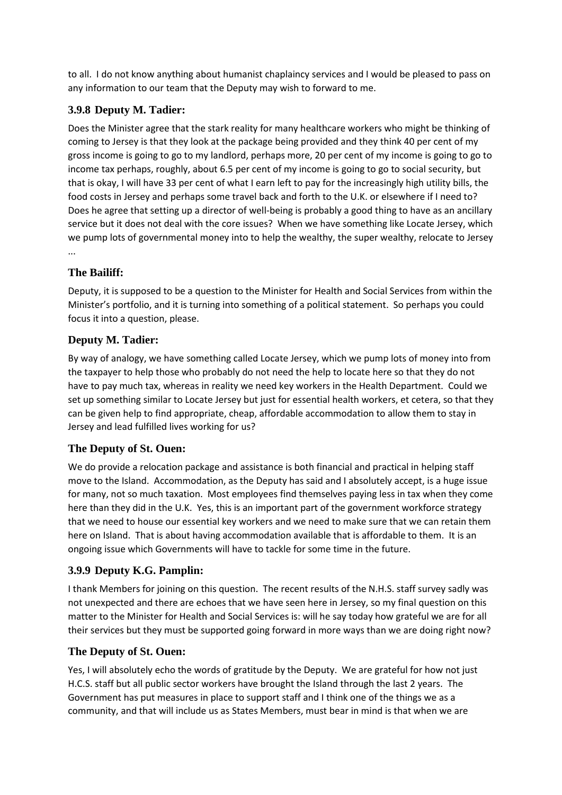to all. I do not know anything about humanist chaplaincy services and I would be pleased to pass on any information to our team that the Deputy may wish to forward to me.

## **3.9.8 Deputy M. Tadier:**

Does the Minister agree that the stark reality for many healthcare workers who might be thinking of coming to Jersey is that they look at the package being provided and they think 40 per cent of my gross income is going to go to my landlord, perhaps more, 20 per cent of my income is going to go to income tax perhaps, roughly, about 6.5 per cent of my income is going to go to social security, but that is okay, I will have 33 per cent of what I earn left to pay for the increasingly high utility bills, the food costs in Jersey and perhaps some travel back and forth to the U.K. or elsewhere if I need to? Does he agree that setting up a director of well-being is probably a good thing to have as an ancillary service but it does not deal with the core issues? When we have something like Locate Jersey, which we pump lots of governmental money into to help the wealthy, the super wealthy, relocate to Jersey ...

# **The Bailiff:**

Deputy, it is supposed to be a question to the Minister for Health and Social Services from within the Minister's portfolio, and it is turning into something of a political statement. So perhaps you could focus it into a question, please.

### **Deputy M. Tadier:**

By way of analogy, we have something called Locate Jersey, which we pump lots of money into from the taxpayer to help those who probably do not need the help to locate here so that they do not have to pay much tax, whereas in reality we need key workers in the Health Department. Could we set up something similar to Locate Jersey but just for essential health workers, et cetera, so that they can be given help to find appropriate, cheap, affordable accommodation to allow them to stay in Jersey and lead fulfilled lives working for us?

### **The Deputy of St. Ouen:**

We do provide a relocation package and assistance is both financial and practical in helping staff move to the Island. Accommodation, as the Deputy has said and I absolutely accept, is a huge issue for many, not so much taxation. Most employees find themselves paying less in tax when they come here than they did in the U.K. Yes, this is an important part of the government workforce strategy that we need to house our essential key workers and we need to make sure that we can retain them here on Island. That is about having accommodation available that is affordable to them. It is an ongoing issue which Governments will have to tackle for some time in the future.

### **3.9.9 Deputy K.G. Pamplin:**

I thank Members for joining on this question. The recent results of the N.H.S. staff survey sadly was not unexpected and there are echoes that we have seen here in Jersey, so my final question on this matter to the Minister for Health and Social Services is: will he say today how grateful we are for all their services but they must be supported going forward in more ways than we are doing right now?

### **The Deputy of St. Ouen:**

Yes, I will absolutely echo the words of gratitude by the Deputy. We are grateful for how not just H.C.S. staff but all public sector workers have brought the Island through the last 2 years. The Government has put measures in place to support staff and I think one of the things we as a community, and that will include us as States Members, must bear in mind is that when we are